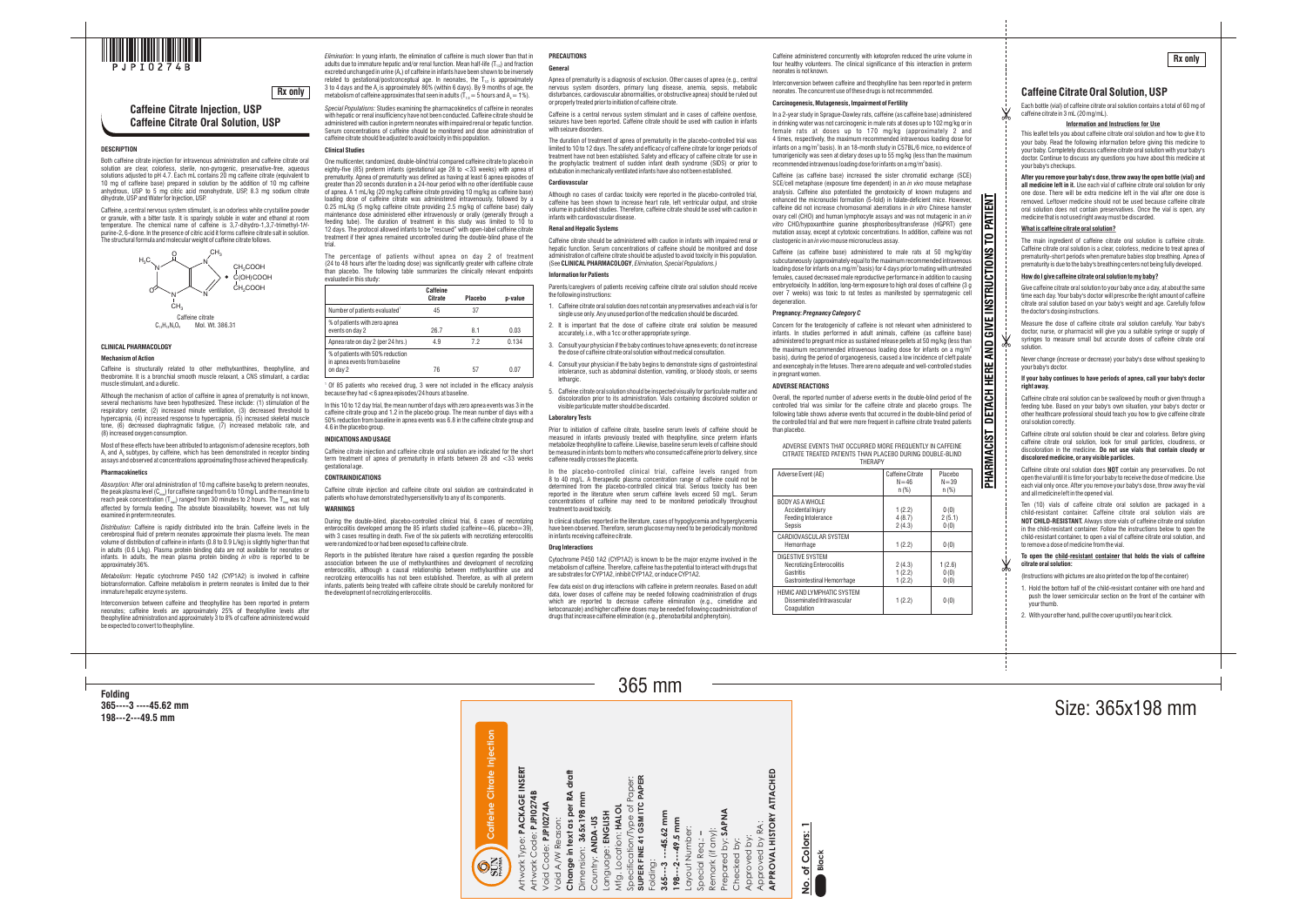# Size: 365x198 mm

**Folding 365----3 ----45.62 mm 198---2---49.5 mm**

**PHARMACIST DETACH HERE AND GIVE INSTRUCTIONS TO PATIENT**

**HERE** 

**FACH** 圄

**PHARMACI** 

Ι¥ 15  $\chi$ **QINA** 

l,

**NSTRUCTIONS** 

### **DESCRIPTION**

Both caffeine citrate injection for intravenous administration and caffeine citrate oral solution are clear, colorless, sterile, non-pyrogenic, preservative-free, aqueous solutions adjusted to pH 4.7. Each mL contains 20 mg caffeine citrate (equivalent to 10 mg of caffeine base) prepared in solution by the addition of 10 mg caffeine anhydrous, USP to 5 mg citric acid monohydrate, USP, 8.3 mg sodium citrate dihydrate, USP and Water for Injection, USP.

Caffeine is structurally related to other methylxanthines, theophylline, and theobromine. It is a bronchial smooth muscle relaxant, a CNS stimulant, a cardiac muscle stimulant, and a diuretic.

Caffeine, a central nervous system stimulant, is an odorless white crystalline powder or granule, with a bitter taste. It is sparingly soluble in water and ethanol at room temperature. The chemical name of caffeine is 3,7-dihydro-1,3,7-trimethyl-1*H*purine-2, 6-dione. In the presence of citric acid it forms caffeine citrate salt in solution. The structural formula and molecular weight of caffeine citrate follows.

### **CLINICAL PHARMACOLOGY**

### **Mechanism of Action**

Although the mechanism of action of caffeine in apnea of prematurity is not known, several mechanisms have been hypothesized. These include: (1) stimulation of the respiratory center, (2) increased minute ventilation, (3) decreased threshold to hypercapnia, (4) increased response to hypercapnia, (5) increased skeletal muscle tone, (6) decreased diaphragmatic fatigue, (7) increased metabolic rate, and (8) increased oxygen consumption.

*Elimination:* In young infants, the elimination of caffeine is much slower than that in adults due to immature hepatic and/or renal function. Mean half-life (T. ) and fraction excreted unchanged in urine (A) of caffeine in infants have been shown to be inversely related to gestational/postconceptual age. In neonates, the  $T_{1/2}$  is approximately  $3$  to 4 days and the A is approximately  $86\%$  (within 6 days). By 9 months of age, the metabolism of caffeine approximates that seen in adults (T $_{\odot}$  = 5 hours and A = 1%).

Most of these effects have been attributed to antagonism of adenosine receptors, both A and A subtypes, by caffeine, which has been demonstrated in receptor binding assays and observed at concentrations approximating those achieved therapeutically.

*Special Populations:* Studies examining the pharmacokinetics of caffeine in neonates with hepatic or renal insufficiency have not been conducted. Caffeine citrate should be administered with caution in preterm neonates with impaired renal or hepatic function. Serum concentrations of caffeine should be monitored and dose administration of caffeine citrate should be adjusted to avoid toxicity in this population.

### **Pharmacokinetics**

*Absorption:* After oral administration of 10 mg caffeine base/kg to preterm neonates, the peak plasma level (C<sub>nax</sub>) for caffeine ranged from 6 to 10 mg/L and the mean time to<br>reach peak concentration (T<sub>nax</sub>) ranged from 30 minutes to 2 hours. The T<sub>nax</sub> was not affected by formula feeding. The absolute bioavailability, however, was not fully examined in preterm neonates.

*Distribution:* Caffeine is rapidly distributed into the brain. Caffeine levels in the cerebrospinal fluid of preterm neonates approximate their plasma levels. The mean volume of distribution of caffeine in infants (0.8 to 0.9 L/kg) is slightly higher than that in adults (0.6 L/kg). Plasma protein binding data are not available for neonates or infants. In adults, the mean plasma protein binding *in vitro* is reported to be approximately 36%.

*Metabolism:* Hepatic cytochrome P450 1A2 (CYP1A2) is involved in caffeine biotransformation. Caffeine metabolism in preterm neonates is limited due to their immature hepatic enzyme systems.

Interconversion between caffeine and theophylline has been reported in preterm neonates; caffeine levels are approximately 25% of theophylline levels after theophylline administration and approximately 3 to 8% of caffeine administered would be expected to convert to theophylline.

Caffeine is a central nervous system stimulant and in cases of caffeine overdose, seizures have been reported. Caffeine citrate should be used with caution in infants with seizure disorders.

### **Clinical Studies**

One multicenter, randomized, double-blind trial compared caffeine citrate to placebo in eighty-five (85) preterm infants (gestational age 28 to <33 weeks) with apnea of prematurity. Apnea of prematurity was defined as having at least 6 apnea episodes of greater than 20 seconds duration in a 24-hour period with no other identifiable cause of apnea. A 1 mL/kg (20 mg/kg caffeine citrate providing 10 mg/kg as caffeine base) ding dose of caffeine citrate was administered intravenously, followed by a 0.25 mL/kg (5 mg/kg caffeine citrate providing 2.5 mg/kg of caffeine base) daily maintenance dose administered either intravenously or orally (generally through a feeding tube). The duration of treatment in this study was limited to 10 to 12 days. The protocol allowed infants to be "rescued" with open-label caffeine citrate treatment if their apnea remained uncontrolled during the double-blind phase of the trial.

The percentage of patients without apnea on day 2 of treatment (24 to 48 hours after the loading dose) was significantly greater with caffeine citrate than placebo. The following table summarizes the clinically relevant endpoints evaluated in this study:

|                                                                               | Caffeine<br>Citrate | Placebo | p-value |
|-------------------------------------------------------------------------------|---------------------|---------|---------|
| Number of patients evaluated <sup>1</sup>                                     | 45                  | 37      |         |
| % of patients with zero apnea<br>events on day 2                              | 26.7                | 8.1     | 0.03    |
| Apnea rate on day 2 (per 24 hrs.)                                             | 4.9                 | 72      | 0.134   |
| % of patients with 50% reduction<br>in apnea events from baseline<br>on day 2 | 76                  | 57      | 0.07    |

 $1$  Of 85 patients who received drug, 3 were not included in the efficacy analysis because they had  $<$  6 apnea episodes/24 hours at baseline

Each bottle (vial) of caffeine citrate oral solution contains a total of 60 mg of caffeine citrate in 3 mL (20 mg/mL).

In this 10 to 12 day trial, the mean number of days with zero apnea events was 3 in the caffeine citrate group and 1.2 in the placebo group. The mean number of days with a 50% reduction from baseline in apnea events was 6.8 in the caffeine citrate group and 4.6 in the placebo group.

### **INDICATIONS AND USAGE**

Caffeine citrate injection and caffeine citrate oral solution are indicated for the short term treatment of apnea of prematurity in infants between 28 and <33 weeks gestational age.

### **CONTRAINDICATIONS**

Caffeine citrate injection and caffeine citrate oral solution are contraindicated in patients who have demonstrated hypersensitivity to any of its components.

### **WARNINGS**

During the double-blind, placebo-controlled clinical trial, 6 cases of necrotizing enterocolitis developed among the 85 infants studied (caffeine=46, placebo=39),<br>with 3 cases resulting in death. Five of the six patients with necrotizing enterocolitis were randomized to or had been exposed to caffeine citrate.

Caffeine citrate oral solution can be swallowed by mouth or given through a feeding tube. Based on your baby's own situation, your baby's doctor or other healthcare professional should teach you how to give caffeine citrate oral solution correctly.

Reports in the published literature have raised a question regarding the possible association between the use of methylxanthines and development of necrotizing enterocolitis, although a causal relationship between methylxanthine use and necrotizing enterocolitis has not been established. Therefore, as with all pret infants, patients being treated with caffeine citrate should be carefully monitored for the development of necrotizing enterocolitis.

# **PRECAUTIONS**

### **General**

Apnea of prematurity is a diagnosis of exclusion. Other causes of apnea (e.g., central nervous system disorders, primary lung disease, anemia, sepsis, metabolic disturbances, cardiovascular abnormalities, or obstructive apnea) should be ruled out or properly treated prior to initiation of caffeine citrate.

> In a 2-year study in Sprague-Dawley rats, caffeine (as caffeine base) administered in drinking water was not carcinogenic in male rats at doses up to 102 mg/kg or in female rats at doses up to 170 mg/kg (approximately 2 and 4 times, respectively, the maximum recommended intravenous loading dose for infants on a mg/m<sup>2</sup> basis). In an 18-month study in C57BL/6 mice, no evidence of tumorigenicity was seen at dietary doses up to 55 mg/kg (less than the maximum zene application, the commended intravenous loading dose for infants on a mg/m<sup>2</sup>basis).

The duration of treatment of apnea of prematurity in the placebo-controlled trial was limited to 10 to 12 days. The safety and efficacy of caffeine citrate for longer periods of treatment have not been established. Safety and efficacy of caffeine citrate for use in the prophylactic treatment of sudden infant death syndrome (SIDS) or prior to extubation in mechanically ventilated infants have also not been established.

### Cardiovascula

Although no cases of cardiac toxicity were reported in the placebo-controlled trial, caffeine has been shown to increase heart rate, left ventricular output, and stroke volume in published studies. Therefore, caffeine citrate should be used with caution in infants with cardiovascular disease.

### **Renal and Hepatic Systems**

### **Information for Patients**

Overall, the reported number of adverse events in the double-blind period of the controlled trial was similar for the caffeine citrate and placebo groups. The following table shows adverse events that occurred in the double-blind period of the controlled trial and that were more frequent in caffeine citrate treated patients than placebo.

Parents/caregivers of patients receiving caffeine citrate oral solution should receive the following instructions:

- 1. Caffeine citrate oral solution does not contain any preservatives and each vial is for single use only. Any unused portion of the medication should be discarded.
- 2. It is important that the dose of caffeine citrate oral solution be measured accurately, i.e., with a 1cc or other appropriate syringe.
- 3. Consult your physician if the baby continues to have apnea events; do not increase the dose of caffeine citrate oral solution without medical consultation.
- 4. Consult your physician if the baby begins to demonstrate signs of gastrointestinal intolerance, such as abdominal distention, vomiting, or bloody stools, or seems letharnic.
- 5. Caffeine citrate oral solution should be inspected visually for particulate matter and discoloration prior to its administration. Vials containing discolored solution or visible particulate matter should be discarded.



### **Laboratory Tests**

Caffeine citrate should be administered with caution in infants with impaired renal or hepatic function. Serum concentrations of caffeine should be monitored and dose administration of caffeine citrate should be adjusted to avoid toxicity in this population. (See **CLINICAL PHARMACOLOGY**, *Elimination, Special Populations ) .*

Prior to initiation of caffeine citrate, baseline serum levels of caffeine should be measured in infants previously treated with theophylline, since preterm infants metabolize theophylline to caffeine. Likewise, baseline serum levels of caffeine should be measured in infants born to mothers who consumed caffeine prior to delivery, since caffeine readily crosses the placenta.

In the placebo-controlled clinical trial, caffeine levels ranged from 8 to 40 mg/L. A therapeutic plasma concentration range of caffeine could not be determined from the placebo-controlled clinical trial. Serious toxicity has been reported in the literature when serum caffeine levels exceed 50 mg/L. Serum concentrations of caffeine may need to be monitored periodically throughout treatment to avoid toxicity.

In clinical studies reported in the literature, cases of hypoglycemia and hyperglycemia have been observed. Therefore, serum glucose may need to be periodically monitored in infants receiving caffeine citrate.

### **Drug Interaction**

Cytochrome P450 1A2 (CYP1A2) is known to be the major enzyme involved in the metabolism of caffeine. Therefore, caffeine has the potential to interact with drugs that are substrates for CYP1A2, inhibit CYP1A2, or induce CYP1A2.

Few data exist on drug interactions with caffeine in preterm neonates. Based on adult data, lower doses of caffeine may be needed following coadministration of drugs which are reported to decrease caffeine elimination (e.g., cimetidine and ketoconazole) and higher caffeine doses may be needed following coadministration of drugs that increase caffeine elimination (e.g., phenobarbital and phenytoin).

## **Caffeine Citrate Oral Solution, USP**

### **Information and Instructions for Use**

This leaflet tells you about caffeine citrate oral solution and how to give it to your baby. Read the following information before giving this medicine to your baby. Completely discuss caffeine citrate oral solution with your baby's doctor. Continue to discuss any questions you have about this medicine at your baby's checkups.

**After you remove your baby's dose, throw away the open bottle (vial) and all medicine left in it.** Use each vial of caffeine citrate oral solution for only one dose. There will be extra medicine left in the vial after one dose is removed. Leftover medicine should not be used because caffeine citrate oral solution does not contain preservatives. Once the vial is open, any medicine that is not used right away must be discarded.

### **What is caffeine citrate oral solution?**

The main ingredient of caffeine citrate oral solution is caffeine citrate. Caffeine citrate oral solution is a clear, colorless, medicine to treat apnea of prematurity-short periods when premature babies stop breathing. Apnea of prematurity is due to the baby's breathing centers not being fully developed.

### **How do I give caffeine citrate oral solution to my baby?**

Give caffeine citrate oral solution to your baby once a day, at about the same time each day. Your baby's doctor will prescribe the right amount of caffeine citrate oral solution based on your baby's weight and age. Carefully follow the doctor's dosing instructions.

Measure the dose of caffeine citrate oral solution carefully. Your baby's doctor, nurse, or pharmacist will give you a suitable syringe or supply of syringes to measure small but accurate doses of caffeine citrate oral solution.

Never change (increase or decrease) your baby's dose without speaking to your baby's doctor.

### **If your baby continues to have periods of apnea, call your baby's doctor right away.**

Caffeine citrate oral solution should be clear and colorless. Before giving caffeine citrate oral solution, look for small particles, cloudiness, or discoloration in the medicine. **Do not use vials that contain cloudy or discolored medicine, or any visible particles.**

Caffeine citrate oral solution does **NOT** contain any preservatives. Do not open the vial until it is time for your baby to receive the dose of medicine. Use each vial only once. After you remove your baby's dose, throw away the vial and all medicine left in the opened vial.

Ten (10) vials of caffeine citrate oral solution are packaged in a child-resistant container. Caffeine citrate oral solution vials are **NOT CHILD-RESISTANT.** Always store vials of caffeine citrate oral solution in the child-resistant container. Follow the instructions below to open the child-resistant container, to open a vial of caffeine citrate oral solution, and to remove a dose of medicine from the vial.

### **To open the child-resistant container that holds the vials of caffeine citrate oral solution:**

(Instructions with pictures are also printed on the top of the container)

- 1. Hold the bottom half of the child-resistant container with one hand and push the lower semicircular section on the front of the container with your thumb.
- 2. With your other hand, pull the cover up until you hear it click.

Caffeine administered concurrently with ketoprofen reduced the urine volume in four healthy volunteers. The clinical significance of this interaction in preterm neonates is not known.

Interconversion between caffeine and theophylline has been reported in preterm neonates. The concurrent use of these drugs is not recommended.

### **Carcinogenesis, Mutagenesis, Impairment of Fertility**

Caffeine (as caffeine base) increased the sister chromatid exchange (SCE) SCE/cell metaphase (exposure time dependent) in an *in vivo* mouse metaphase analysis. Caffeine also potentiated the genotoxicity of known mutagens and enhanced the micronuclei formation (5-fold) in folate-deficient mice. However, caffeine did not increase chromosomal aberrations in *in vitro* Chinese hamster ovary cell (CHO) and human lymphocyte assays and was not mutagenic in an *in vitro* CHO/hypoxanthine guanine phosphoribosyltransferase (HGPRT) gene mutation assay, except at cytotoxic concentrations. In addition, caffeine was not clastogenic in an *in vivo* mouse micronucleus assay.

Caffeine (as caffeine base) administered to male rats at 50 mg/kg/day subcutaneously (approximately equal to the maximum recommended intravenous  $\alpha$  loading dose for infants on a mg/m<sup>2</sup> basis) for 4 days prior to mating with untreated females, caused decreased male reproductive performance in addition to causing embryotoxicity. In addition, long-term exposure to high oral doses of caffeine (3 g over 7 weeks) was toxic to rat testes as manifested by spermatogenic cell degeneration.

### **Pregnancy:** *Pregnancy Category C*

Concern for the teratogenicity of caffeine is not relevant when administered to infants. In studies performed in adult animals, caffeine (as caffeine base) administered to pregnant mice as sustained release pellets at 50 mg/kg (less than the maximum recommended intravenous loading dose for infants on a mg/m<sup>2</sup> basis), during the period of organogenesis, caused a low incidence of cleft palate and exencephaly in the fetuses. There are no adequate and well-controlled studies in pregnant women.

### **ADVERSE REACTIONS**

ADVERSE EVENTS THAT OCCURRED MORE FREQUENTLY IN CAFFEINE CITRATE TREATED PATIENTS THAN PLACEBO DURING DOUBLE-BLIND

| THERAPY                                                                                          |                                         |                             |  |
|--------------------------------------------------------------------------------------------------|-----------------------------------------|-----------------------------|--|
| Adverse Event (AE)                                                                               | Caffeine Citrate<br>$N = 46$<br>$n$ (%) | Placebo<br>$N = 39$<br>n(%) |  |
| BODY AS A WHOLE<br>Accidental Injury<br>Feeding Intolerance<br>Sepsis                            | 1(2.2)<br>4(8.7)<br>2(4.3)              | 0(0)<br>2(5.1)<br>0(0)      |  |
| CARDIOVASCULAR SYSTEM<br>Hemorrhage                                                              | 1(2.2)                                  | 0(0)                        |  |
| DIGESTIVE SYSTEM<br><b>Necrotizing Enterocolitis</b><br>Gastritis<br>Gastrointestinal Hemorrhage | 2(4.3)<br>1(2.2)<br>1(2.2)              | 1(2.6)<br>0(0)<br>0(0)      |  |
| HEMIC AND LYMPHATIC SYSTEM<br>Disseminated Intravascular<br>Coagulation                          | 1(2.2)                                  | 0(0)                        |  |



# **Rx only**

**Caffeine Citrate Injection, USP Caffeine Citrate Oral Solution, USP**